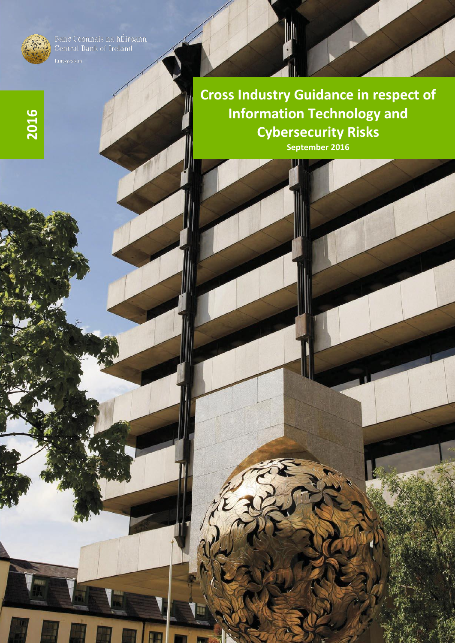

**2016**

Banc Ceannais na hÉireann<br>Central Bank of Ireland

**Cross Industry Guidance in respect of Information Technology and Cybersecurity Risks September 2016**

W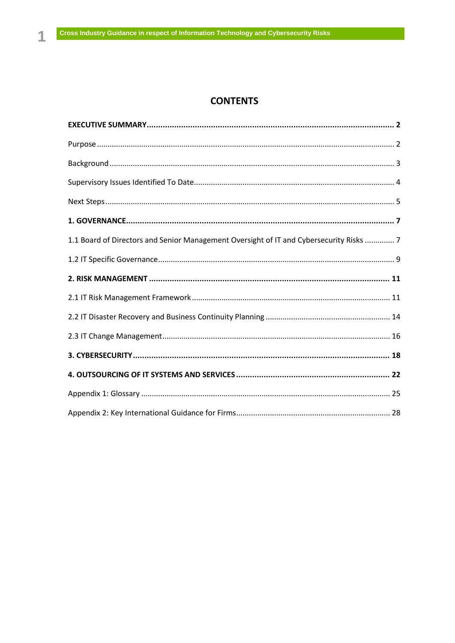# **CONTENTS**

| 1.1 Board of Directors and Senior Management Oversight of IT and Cybersecurity Risks  7 |
|-----------------------------------------------------------------------------------------|
|                                                                                         |
|                                                                                         |
|                                                                                         |
|                                                                                         |
|                                                                                         |
|                                                                                         |
|                                                                                         |
|                                                                                         |
|                                                                                         |

1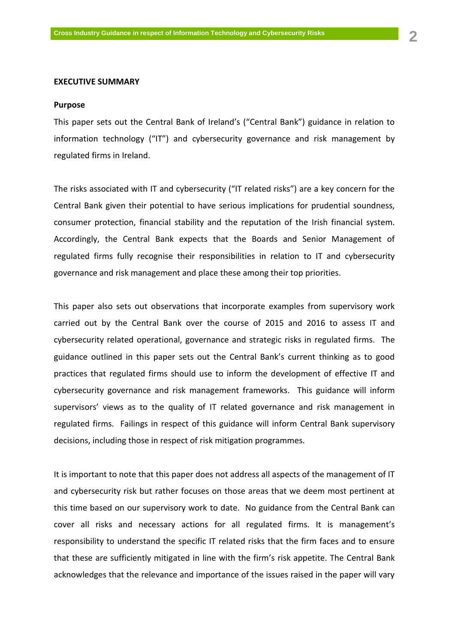#### <span id="page-2-0"></span>**EXECUTIVE SUMMARY**

#### <span id="page-2-1"></span>**Purpose**

This paper sets out the Central Bank of Ireland's ("Central Bank") guidance in relation to information technology ("IT") and cybersecurity governance and risk management by regulated firms in Ireland.

The risks associated with IT and cybersecurity ("IT related risks") are a key concern for the Central Bank given their potential to have serious implications for prudential soundness, consumer protection, financial stability and the reputation of the Irish financial system. Accordingly, the Central Bank expects that the Boards and Senior Management of regulated firms fully recognise their responsibilities in relation to IT and cybersecurity governance and risk management and place these among their top priorities.

This paper also sets out observations that incorporate examples from supervisory work carried out by the Central Bank over the course of 2015 and 2016 to assess IT and cybersecurity related operational, governance and strategic risks in regulated firms. The guidance outlined in this paper sets out the Central Bank's current thinking as to good practices that regulated firms should use to inform the development of effective IT and cybersecurity governance and risk management frameworks. This guidance will inform supervisors' views as to the quality of IT related governance and risk management in regulated firms. Failings in respect of this guidance will inform Central Bank supervisory decisions, including those in respect of risk mitigation programmes.

It is important to note that this paper does not address all aspects of the management of IT and cybersecurity risk but rather focuses on those areas that we deem most pertinent at this time based on our supervisory work to date. No guidance from the Central Bank can cover all risks and necessary actions for all regulated firms. It is management's responsibility to understand the specific IT related risks that the firm faces and to ensure that these are sufficiently mitigated in line with the firm's risk appetite. The Central Bank acknowledges that the relevance and importance of the issues raised in the paper will vary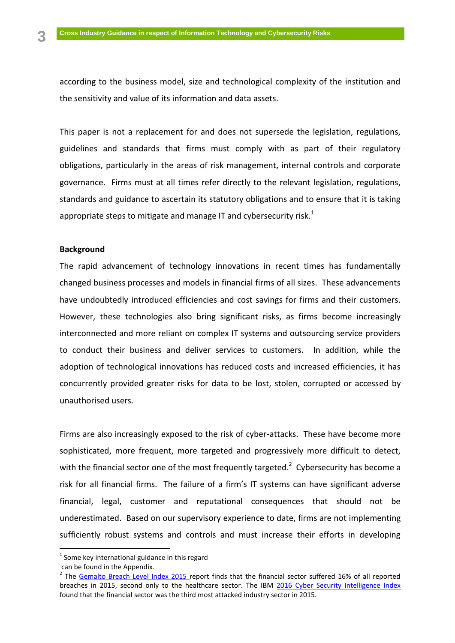according to the business model, size and technological complexity of the institution and the sensitivity and value of its information and data assets.

This paper is not a replacement for and does not supersede the legislation, regulations, guidelines and standards that firms must comply with as part of their regulatory obligations, particularly in the areas of risk management, internal controls and corporate governance. Firms must at all times refer directly to the relevant legislation, regulations, standards and guidance to ascertain its statutory obligations and to ensure that it is taking appropriate steps to mitigate and manage IT and cybersecurity risk.<sup>1</sup>

# <span id="page-3-0"></span>**Background**

The rapid advancement of technology innovations in recent times has fundamentally changed business processes and models in financial firms of all sizes. These advancements have undoubtedly introduced efficiencies and cost savings for firms and their customers. However, these technologies also bring significant risks, as firms become increasingly interconnected and more reliant on complex IT systems and outsourcing service providers to conduct their business and deliver services to customers. In addition, while the adoption of technological innovations has reduced costs and increased efficiencies, it has concurrently provided greater risks for data to be lost, stolen, corrupted or accessed by unauthorised users.

Firms are also increasingly exposed to the risk of cyber-attacks. These have become more sophisticated, more frequent, more targeted and progressively more difficult to detect, with the financial sector one of the most frequently targeted.<sup>2</sup> Cybersecurity has become a risk for all financial firms. The failure of a firm's IT systems can have significant adverse financial, legal, customer and reputational consequences that should not be underestimated. Based on our supervisory experience to date, firms are not implementing sufficiently robust systems and controls and must increase their efforts in developing

 $\overline{a}$ 

 $^{1}$  Some key international guidance in this regard

can be found in the Appendix.

<sup>&</sup>lt;sup>2</sup> The <u>Gemalto Breach Level Index 2015</u> report finds that the financial sector suffered 16% of all reported breaches in 2015, second only to the healthcare sector. The IBM [2016 Cyber Security Intelligence Index](http://www-03.ibm.com/security/data-breach/cyber-security-index.html)  found that the financial sector was the third most attacked industry sector in 2015.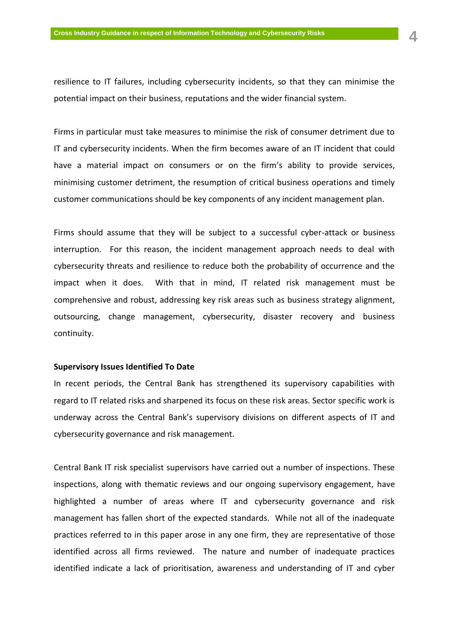resilience to IT failures, including cybersecurity incidents, so that they can minimise the potential impact on their business, reputations and the wider financial system.

Firms in particular must take measures to minimise the risk of consumer detriment due to IT and cybersecurity incidents. When the firm becomes aware of an IT incident that could have a material impact on consumers or on the firm's ability to provide services, minimising customer detriment, the resumption of critical business operations and timely customer communications should be key components of any incident management plan.

Firms should assume that they will be subject to a successful cyber-attack or business interruption. For this reason, the incident management approach needs to deal with cybersecurity threats and resilience to reduce both the probability of occurrence and the impact when it does. With that in mind, IT related risk management must be comprehensive and robust, addressing key risk areas such as business strategy alignment, outsourcing, change management, cybersecurity, disaster recovery and business continuity.

### <span id="page-4-0"></span>**Supervisory Issues Identified To Date**

In recent periods, the Central Bank has strengthened its supervisory capabilities with regard to IT related risks and sharpened its focus on these risk areas. Sector specific work is underway across the Central Bank's supervisory divisions on different aspects of IT and cybersecurity governance and risk management.

Central Bank IT risk specialist supervisors have carried out a number of inspections. These inspections, along with thematic reviews and our ongoing supervisory engagement, have highlighted a number of areas where IT and cybersecurity governance and risk management has fallen short of the expected standards. While not all of the inadequate practices referred to in this paper arose in any one firm, they are representative of those identified across all firms reviewed. The nature and number of inadequate practices identified indicate a lack of prioritisation, awareness and understanding of IT and cyber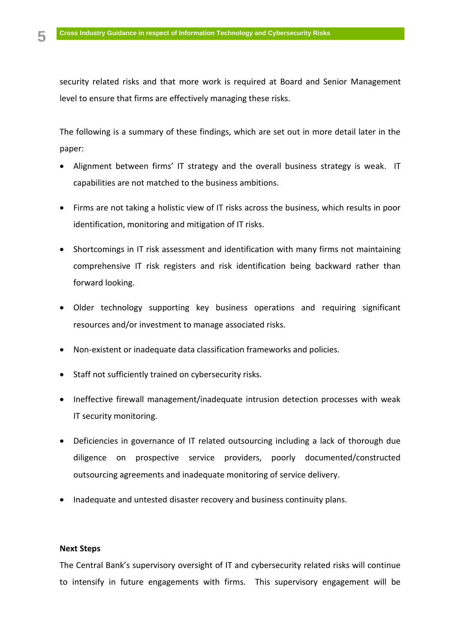security related risks and that more work is required at Board and Senior Management level to ensure that firms are effectively managing these risks.

The following is a summary of these findings, which are set out in more detail later in the paper:

- Alignment between firms' IT strategy and the overall business strategy is weak. IT capabilities are not matched to the business ambitions.
- Firms are not taking a holistic view of IT risks across the business, which results in poor identification, monitoring and mitigation of IT risks.
- Shortcomings in IT risk assessment and identification with many firms not maintaining comprehensive IT risk registers and risk identification being backward rather than forward looking.
- Older technology supporting key business operations and requiring significant resources and/or investment to manage associated risks.
- Non-existent or inadequate data classification frameworks and policies.
- Staff not sufficiently trained on cybersecurity risks.
- Ineffective firewall management/inadequate intrusion detection processes with weak IT security monitoring.
- Deficiencies in governance of IT related outsourcing including a lack of thorough due diligence on prospective service providers, poorly documented/constructed outsourcing agreements and inadequate monitoring of service delivery.
- Inadequate and untested disaster recovery and business continuity plans.

# <span id="page-5-0"></span>**Next Steps**

The Central Bank's supervisory oversight of IT and cybersecurity related risks will continue to intensify in future engagements with firms. This supervisory engagement will be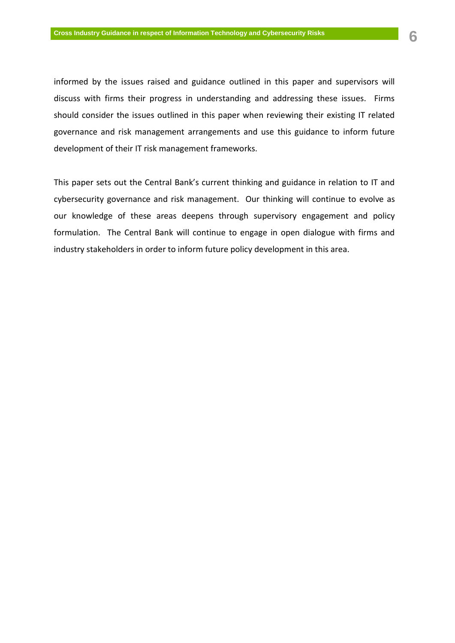informed by the issues raised and guidance outlined in this paper and supervisors will

discuss with firms their progress in understanding and addressing these issues. Firms should consider the issues outlined in this paper when reviewing their existing IT related governance and risk management arrangements and use this guidance to inform future development of their IT risk management frameworks.

This paper sets out the Central Bank's current thinking and guidance in relation to IT and cybersecurity governance and risk management. Our thinking will continue to evolve as our knowledge of these areas deepens through supervisory engagement and policy formulation. The Central Bank will continue to engage in open dialogue with firms and industry stakeholders in order to inform future policy development in this area.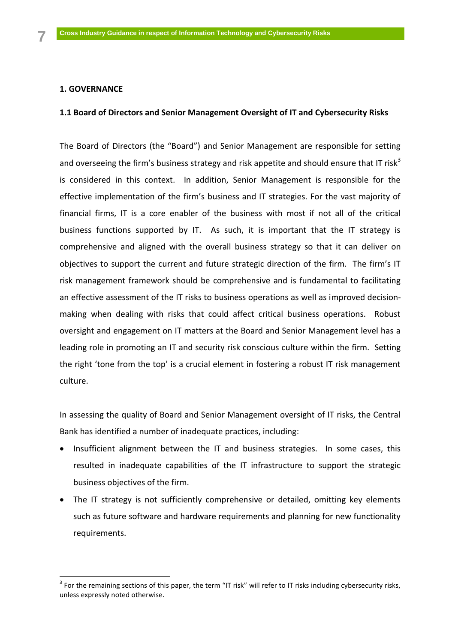# <span id="page-7-0"></span>**1. GOVERNANCE**

 $\overline{a}$ 

# <span id="page-7-1"></span>**1.1 Board of Directors and Senior Management Oversight of IT and Cybersecurity Risks**

The Board of Directors (the "Board") and Senior Management are responsible for setting and overseeing the firm's business strategy and risk appetite and should ensure that IT risk<sup>3</sup> is considered in this context. In addition, Senior Management is responsible for the effective implementation of the firm's business and IT strategies. For the vast majority of financial firms, IT is a core enabler of the business with most if not all of the critical business functions supported by IT. As such, it is important that the IT strategy is comprehensive and aligned with the overall business strategy so that it can deliver on objectives to support the current and future strategic direction of the firm. The firm's IT risk management framework should be comprehensive and is fundamental to facilitating an effective assessment of the IT risks to business operations as well as improved decisionmaking when dealing with risks that could affect critical business operations. Robust oversight and engagement on IT matters at the Board and Senior Management level has a leading role in promoting an IT and security risk conscious culture within the firm. Setting the right 'tone from the top' is a crucial element in fostering a robust IT risk management culture.

In assessing the quality of Board and Senior Management oversight of IT risks, the Central Bank has identified a number of inadequate practices, including:

- Insufficient alignment between the IT and business strategies. In some cases, this resulted in inadequate capabilities of the IT infrastructure to support the strategic business objectives of the firm.
- The IT strategy is not sufficiently comprehensive or detailed, omitting key elements such as future software and hardware requirements and planning for new functionality requirements.

 $3$  For the remaining sections of this paper, the term "IT risk" will refer to IT risks including cybersecurity risks, unless expressly noted otherwise.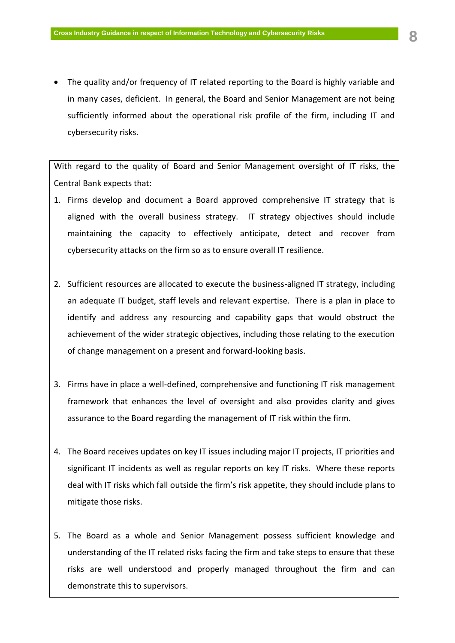• The quality and/or frequency of IT related reporting to the Board is highly variable and in many cases, deficient. In general, the Board and Senior Management are not being sufficiently informed about the operational risk profile of the firm, including IT and cybersecurity risks.

With regard to the quality of Board and Senior Management oversight of IT risks, the Central Bank expects that:

- 1. Firms develop and document a Board approved comprehensive IT strategy that is aligned with the overall business strategy. IT strategy objectives should include maintaining the capacity to effectively anticipate, detect and recover from cybersecurity attacks on the firm so as to ensure overall IT resilience.
- 2. Sufficient resources are allocated to execute the business-aligned IT strategy, including an adequate IT budget, staff levels and relevant expertise. There is a plan in place to identify and address any resourcing and capability gaps that would obstruct the achievement of the wider strategic objectives, including those relating to the execution of change management on a present and forward-looking basis.
- 3. Firms have in place a well-defined, comprehensive and functioning IT risk management framework that enhances the level of oversight and also provides clarity and gives assurance to the Board regarding the management of IT risk within the firm.
- 4. The Board receives updates on key IT issues including major IT projects, IT priorities and significant IT incidents as well as regular reports on key IT risks. Where these reports deal with IT risks which fall outside the firm's risk appetite, they should include plans to mitigate those risks.
- 5. The Board as a whole and Senior Management possess sufficient knowledge and understanding of the IT related risks facing the firm and take steps to ensure that these risks are well understood and properly managed throughout the firm and can demonstrate this to supervisors.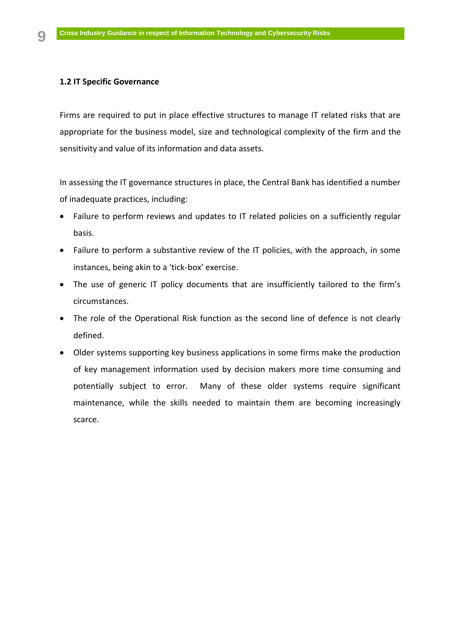# <span id="page-9-0"></span>**1.2 IT Specific Governance**

Firms are required to put in place effective structures to manage IT related risks that are appropriate for the business model, size and technological complexity of the firm and the sensitivity and value of its information and data assets.

In assessing the IT governance structures in place, the Central Bank has identified a number of inadequate practices, including:

- Failure to perform reviews and updates to IT related policies on a sufficiently regular basis.
- Failure to perform a substantive review of the IT policies, with the approach, in some instances, being akin to a 'tick-box' exercise.
- The use of generic IT policy documents that are insufficiently tailored to the firm's circumstances.
- The role of the Operational Risk function as the second line of defence is not clearly defined.
- Older systems supporting key business applications in some firms make the production of key management information used by decision makers more time consuming and potentially subject to error. Many of these older systems require significant maintenance, while the skills needed to maintain them are becoming increasingly scarce.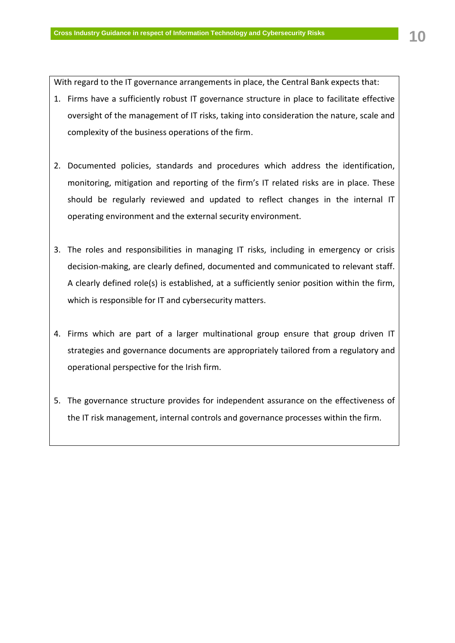With regard to the IT governance arrangements in place, the Central Bank expects that:

- 1. Firms have a sufficiently robust IT governance structure in place to facilitate effective oversight of the management of IT risks, taking into consideration the nature, scale and complexity of the business operations of the firm.
- 2. Documented policies, standards and procedures which address the identification, monitoring, mitigation and reporting of the firm's IT related risks are in place. These should be regularly reviewed and updated to reflect changes in the internal IT operating environment and the external security environment.
- 3. The roles and responsibilities in managing IT risks, including in emergency or crisis decision-making, are clearly defined, documented and communicated to relevant staff. A clearly defined role(s) is established, at a sufficiently senior position within the firm, which is responsible for IT and cybersecurity matters.
- 4. Firms which are part of a larger multinational group ensure that group driven IT strategies and governance documents are appropriately tailored from a regulatory and operational perspective for the Irish firm.
- 5. The governance structure provides for independent assurance on the effectiveness of the IT risk management, internal controls and governance processes within the firm.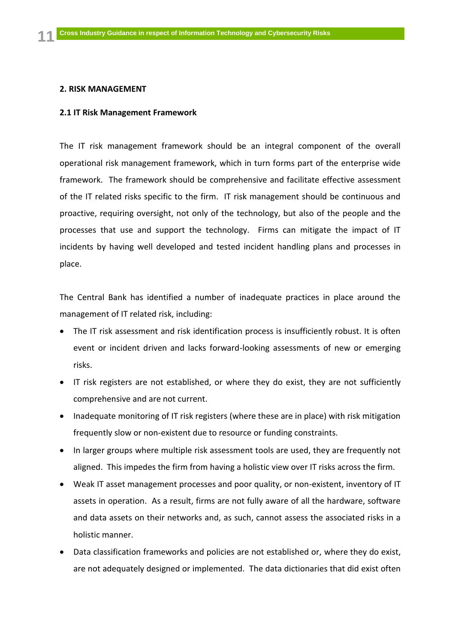### <span id="page-11-0"></span>**2. RISK MANAGEMENT**

### <span id="page-11-1"></span>**2.1 IT Risk Management Framework**

The IT risk management framework should be an integral component of the overall operational risk management framework, which in turn forms part of the enterprise wide framework. The framework should be comprehensive and facilitate effective assessment of the IT related risks specific to the firm. IT risk management should be continuous and proactive, requiring oversight, not only of the technology, but also of the people and the processes that use and support the technology. Firms can mitigate the impact of IT incidents by having well developed and tested incident handling plans and processes in place.

The Central Bank has identified a number of inadequate practices in place around the management of IT related risk, including:

- The IT risk assessment and risk identification process is insufficiently robust. It is often event or incident driven and lacks forward-looking assessments of new or emerging risks.
- IT risk registers are not established, or where they do exist, they are not sufficiently comprehensive and are not current.
- Inadequate monitoring of IT risk registers (where these are in place) with risk mitigation frequently slow or non-existent due to resource or funding constraints.
- In larger groups where multiple risk assessment tools are used, they are frequently not aligned. This impedes the firm from having a holistic view over IT risks across the firm.
- Weak IT asset management processes and poor quality, or non-existent, inventory of IT assets in operation. As a result, firms are not fully aware of all the hardware, software and data assets on their networks and, as such, cannot assess the associated risks in a holistic manner.
- Data classification frameworks and policies are not established or, where they do exist, are not adequately designed or implemented. The data dictionaries that did exist often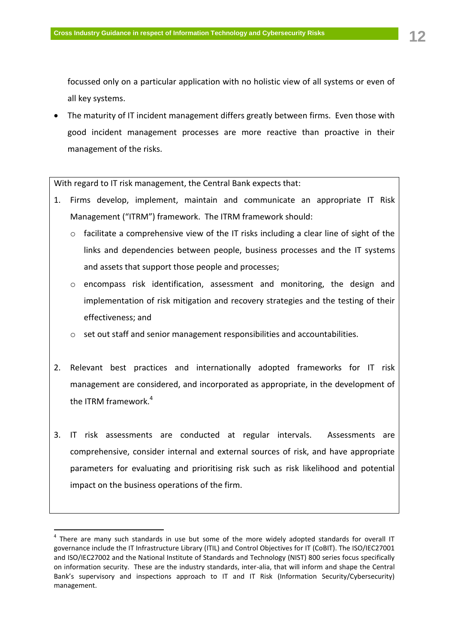focussed only on a particular application with no holistic view of all systems or even of all key systems.

 The maturity of IT incident management differs greatly between firms. Even those with good incident management processes are more reactive than proactive in their management of the risks.

With regard to IT risk management, the Central Bank expects that:

- 1. Firms develop, implement, maintain and communicate an appropriate IT Risk Management ("ITRM") framework. The ITRM framework should:
	- $\circ$  facilitate a comprehensive view of the IT risks including a clear line of sight of the links and dependencies between people, business processes and the IT systems and assets that support those people and processes;
	- o encompass risk identification, assessment and monitoring, the design and implementation of risk mitigation and recovery strategies and the testing of their effectiveness; and
	- $\circ$  set out staff and senior management responsibilities and accountabilities.
- 2. Relevant best practices and internationally adopted frameworks for IT risk management are considered, and incorporated as appropriate, in the development of the ITRM framework.<sup>4</sup>
- 3. IT risk assessments are conducted at regular intervals. Assessments are comprehensive, consider internal and external sources of risk, and have appropriate parameters for evaluating and prioritising risk such as risk likelihood and potential impact on the business operations of the firm.

1

<sup>&</sup>lt;sup>4</sup> There are many such standards in use but some of the more widely adopted standards for overall IT governance include the IT Infrastructure Library (ITIL) and Control Objectives for IT (CoBIT). The ISO/IEC27001 and ISO/IEC27002 and the National Institute of Standards and Technology (NIST) 800 series focus specifically on information security. These are the industry standards, inter-alia, that will inform and shape the Central Bank's supervisory and inspections approach to IT and IT Risk (Information Security/Cybersecurity) management.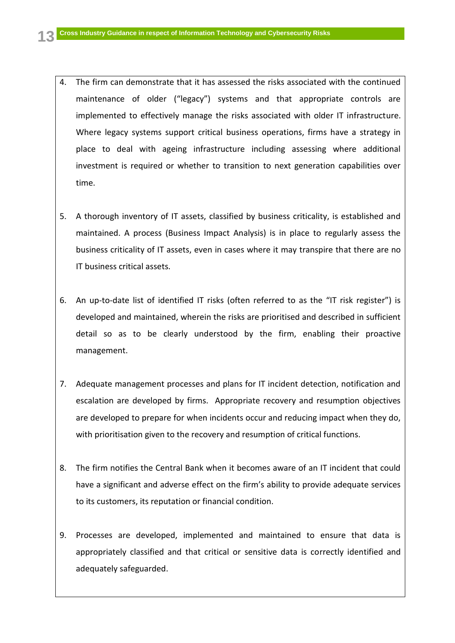- 4. The firm can demonstrate that it has assessed the risks associated with the continued maintenance of older ("legacy") systems and that appropriate controls are implemented to effectively manage the risks associated with older IT infrastructure. Where legacy systems support critical business operations, firms have a strategy in place to deal with ageing infrastructure including assessing where additional investment is required or whether to transition to next generation capabilities over time.
- 5. A thorough inventory of IT assets, classified by business criticality, is established and maintained. A process (Business Impact Analysis) is in place to regularly assess the business criticality of IT assets, even in cases where it may transpire that there are no IT business critical assets.
- 6. An up-to-date list of identified IT risks (often referred to as the "IT risk register") is developed and maintained, wherein the risks are prioritised and described in sufficient detail so as to be clearly understood by the firm, enabling their proactive management.
- 7. Adequate management processes and plans for IT incident detection, notification and escalation are developed by firms. Appropriate recovery and resumption objectives are developed to prepare for when incidents occur and reducing impact when they do, with prioritisation given to the recovery and resumption of critical functions.
- 8. The firm notifies the Central Bank when it becomes aware of an IT incident that could have a significant and adverse effect on the firm's ability to provide adequate services to its customers, its reputation or financial condition.
- 9. Processes are developed, implemented and maintained to ensure that data is appropriately classified and that critical or sensitive data is correctly identified and adequately safeguarded.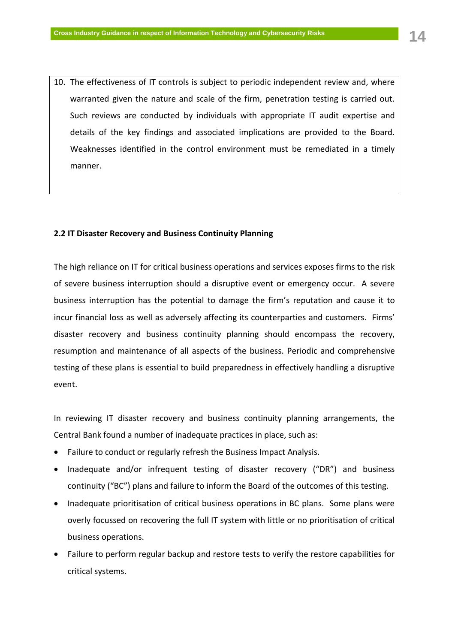10. The effectiveness of IT controls is subject to periodic independent review and, where warranted given the nature and scale of the firm, penetration testing is carried out. Such reviews are conducted by individuals with appropriate IT audit expertise and details of the key findings and associated implications are provided to the Board. Weaknesses identified in the control environment must be remediated in a timely manner.

#### <span id="page-14-0"></span>**2.2 IT Disaster Recovery and Business Continuity Planning**

The high reliance on IT for critical business operations and services exposes firms to the risk of severe business interruption should a disruptive event or emergency occur. A severe business interruption has the potential to damage the firm's reputation and cause it to incur financial loss as well as adversely affecting its counterparties and customers. Firms' disaster recovery and business continuity planning should encompass the recovery, resumption and maintenance of all aspects of the business. Periodic and comprehensive testing of these plans is essential to build preparedness in effectively handling a disruptive event.

In reviewing IT disaster recovery and business continuity planning arrangements, the Central Bank found a number of inadequate practices in place, such as:

- Failure to conduct or regularly refresh the Business Impact Analysis.
- Inadequate and/or infrequent testing of disaster recovery ("DR") and business continuity ("BC") plans and failure to inform the Board of the outcomes of this testing.
- Inadequate prioritisation of critical business operations in BC plans. Some plans were overly focussed on recovering the full IT system with little or no prioritisation of critical business operations.
- Failure to perform regular backup and restore tests to verify the restore capabilities for critical systems.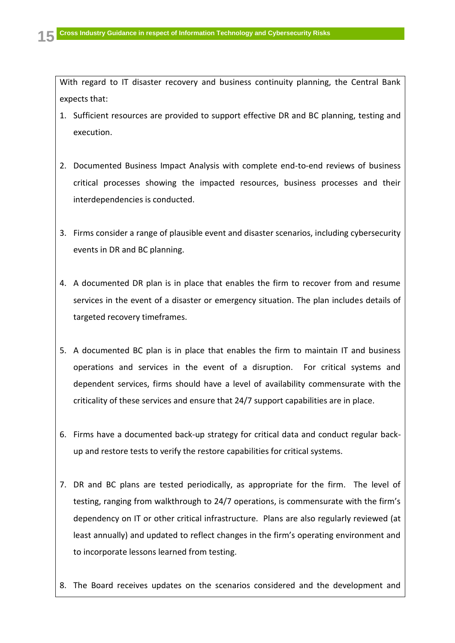With regard to IT disaster recovery and business continuity planning, the Central Bank expects that:

- 1. Sufficient resources are provided to support effective DR and BC planning, testing and execution.
- 2. Documented Business Impact Analysis with complete end-to-end reviews of business critical processes showing the impacted resources, business processes and their interdependencies is conducted.
- 3. Firms consider a range of plausible event and disaster scenarios, including cybersecurity events in DR and BC planning.
- 4. A documented DR plan is in place that enables the firm to recover from and resume services in the event of a disaster or emergency situation. The plan includes details of targeted recovery timeframes.
- 5. A documented BC plan is in place that enables the firm to maintain IT and business operations and services in the event of a disruption. For critical systems and dependent services, firms should have a level of availability commensurate with the criticality of these services and ensure that 24/7 support capabilities are in place.
- 6. Firms have a documented back-up strategy for critical data and conduct regular backup and restore tests to verify the restore capabilities for critical systems.
- 7. DR and BC plans are tested periodically, as appropriate for the firm. The level of testing, ranging from walkthrough to 24/7 operations, is commensurate with the firm's dependency on IT or other critical infrastructure. Plans are also regularly reviewed (at least annually) and updated to reflect changes in the firm's operating environment and to incorporate lessons learned from testing.
- 8. The Board receives updates on the scenarios considered and the development and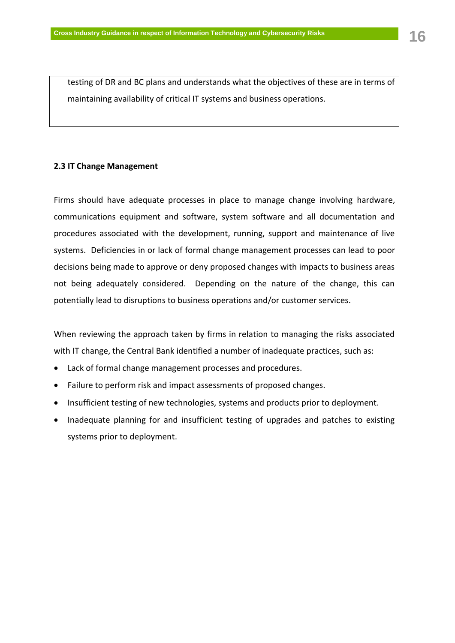testing of DR and BC plans and understands what the objectives of these are in terms of maintaining availability of critical IT systems and business operations.

# <span id="page-16-0"></span>**2.3 IT Change Management**

Firms should have adequate processes in place to manage change involving hardware, communications equipment and software, system software and all documentation and procedures associated with the development, running, support and maintenance of live systems. Deficiencies in or lack of formal change management processes can lead to poor decisions being made to approve or deny proposed changes with impacts to business areas not being adequately considered. Depending on the nature of the change, this can potentially lead to disruptions to business operations and/or customer services.

When reviewing the approach taken by firms in relation to managing the risks associated with IT change, the Central Bank identified a number of inadequate practices, such as:

- Lack of formal change management processes and procedures.
- Failure to perform risk and impact assessments of proposed changes.
- Insufficient testing of new technologies, systems and products prior to deployment.
- Inadequate planning for and insufficient testing of upgrades and patches to existing systems prior to deployment.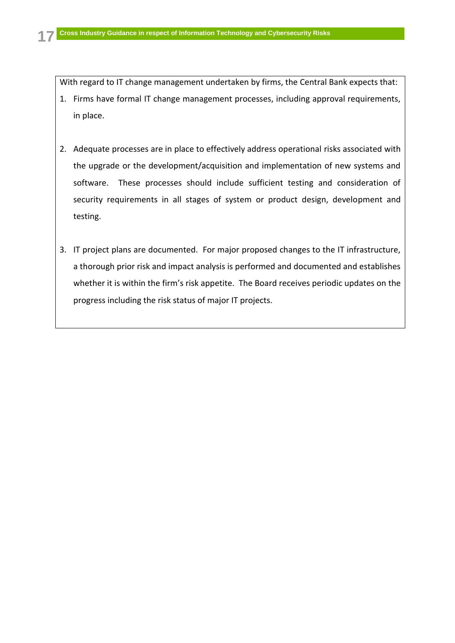With regard to IT change management undertaken by firms, the Central Bank expects that:

- 1. Firms have formal IT change management processes, including approval requirements, in place.
- 2. Adequate processes are in place to effectively address operational risks associated with the upgrade or the development/acquisition and implementation of new systems and software. These processes should include sufficient testing and consideration of security requirements in all stages of system or product design, development and testing.
- 3. IT project plans are documented. For major proposed changes to the IT infrastructure, a thorough prior risk and impact analysis is performed and documented and establishes whether it is within the firm's risk appetite. The Board receives periodic updates on the progress including the risk status of major IT projects.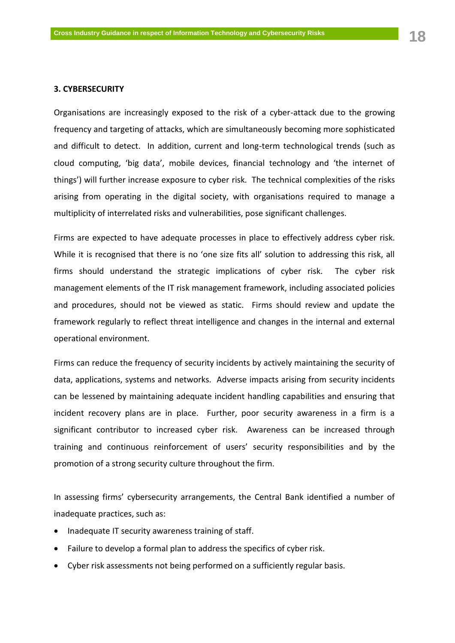# <span id="page-18-0"></span>**3. CYBERSECURITY**

Organisations are increasingly exposed to the risk of a cyber-attack due to the growing frequency and targeting of attacks, which are simultaneously becoming more sophisticated and difficult to detect. In addition, current and long-term technological trends (such as cloud computing, 'big data', mobile devices, financial technology and 'the internet of things') will further increase exposure to cyber risk. The technical complexities of the risks arising from operating in the digital society, with organisations required to manage a multiplicity of interrelated risks and vulnerabilities, pose significant challenges.

Firms are expected to have adequate processes in place to effectively address cyber risk. While it is recognised that there is no 'one size fits all' solution to addressing this risk, all firms should understand the strategic implications of cyber risk. The cyber risk management elements of the IT risk management framework, including associated policies and procedures, should not be viewed as static. Firms should review and update the framework regularly to reflect threat intelligence and changes in the internal and external operational environment.

Firms can reduce the frequency of security incidents by actively maintaining the security of data, applications, systems and networks. Adverse impacts arising from security incidents can be lessened by maintaining adequate incident handling capabilities and ensuring that incident recovery plans are in place. Further, poor security awareness in a firm is a significant contributor to increased cyber risk. Awareness can be increased through training and continuous reinforcement of users' security responsibilities and by the promotion of a strong security culture throughout the firm.

In assessing firms' cybersecurity arrangements, the Central Bank identified a number of inadequate practices, such as:

- Inadequate IT security awareness training of staff.
- Failure to develop a formal plan to address the specifics of cyber risk.
- Cyber risk assessments not being performed on a sufficiently regular basis.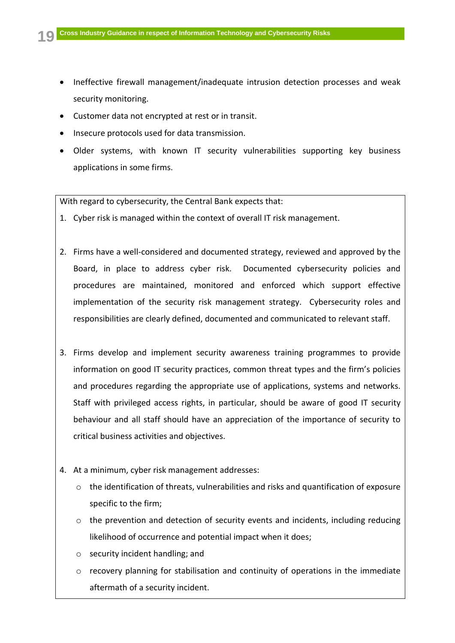- Ineffective firewall management/inadequate intrusion detection processes and weak security monitoring.
- Customer data not encrypted at rest or in transit.
- Insecure protocols used for data transmission.
- Older systems, with known IT security vulnerabilities supporting key business applications in some firms.

With regard to cybersecurity, the Central Bank expects that:

- 1. Cyber risk is managed within the context of overall IT risk management.
- 2. Firms have a well-considered and documented strategy, reviewed and approved by the Board, in place to address cyber risk. Documented cybersecurity policies and procedures are maintained, monitored and enforced which support effective implementation of the security risk management strategy. Cybersecurity roles and responsibilities are clearly defined, documented and communicated to relevant staff.
- 3. Firms develop and implement security awareness training programmes to provide information on good IT security practices, common threat types and the firm's policies and procedures regarding the appropriate use of applications, systems and networks. Staff with privileged access rights, in particular, should be aware of good IT security behaviour and all staff should have an appreciation of the importance of security to critical business activities and objectives.
- 4. At a minimum, cyber risk management addresses:
	- $\circ$  the identification of threats, vulnerabilities and risks and quantification of exposure specific to the firm;
	- $\circ$  the prevention and detection of security events and incidents, including reducing likelihood of occurrence and potential impact when it does;
	- o security incident handling; and
	- $\circ$  recovery planning for stabilisation and continuity of operations in the immediate aftermath of a security incident.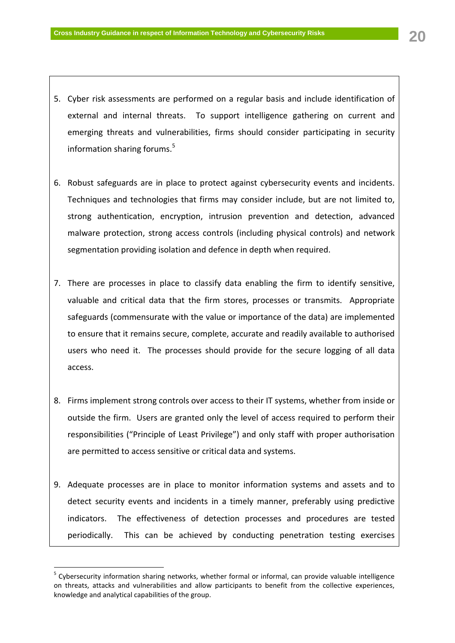- 5. Cyber risk assessments are performed on a regular basis and include identification of external and internal threats. To support intelligence gathering on current and emerging threats and vulnerabilities, firms should consider participating in security information sharing forums.<sup>5</sup>
- 6. Robust safeguards are in place to protect against cybersecurity events and incidents. Techniques and technologies that firms may consider include, but are not limited to, strong authentication, encryption, intrusion prevention and detection, advanced malware protection, strong access controls (including physical controls) and network segmentation providing isolation and defence in depth when required.
- 7. There are processes in place to classify data enabling the firm to identify sensitive, valuable and critical data that the firm stores, processes or transmits. Appropriate safeguards (commensurate with the value or importance of the data) are implemented to ensure that it remains secure, complete, accurate and readily available to authorised users who need it. The processes should provide for the secure logging of all data access.
- 8. Firms implement strong controls over access to their IT systems, whether from inside or outside the firm. Users are granted only the level of access required to perform their responsibilities ("Principle of Least Privilege") and only staff with proper authorisation are permitted to access sensitive or critical data and systems.
- 9. Adequate processes are in place to monitor information systems and assets and to detect security events and incidents in a timely manner, preferably using predictive indicators. The effectiveness of detection processes and procedures are tested periodically. This can be achieved by conducting penetration testing exercises

1

<sup>&</sup>lt;sup>5</sup> Cybersecurity information sharing networks, whether formal or informal, can provide valuable intelligence on threats, attacks and vulnerabilities and allow participants to benefit from the collective experiences, knowledge and analytical capabilities of the group.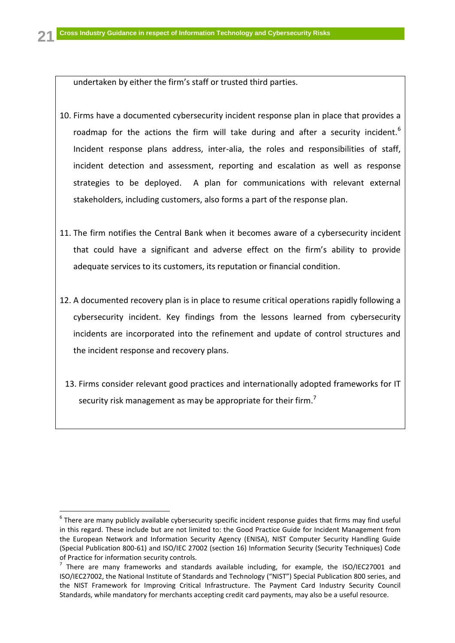undertaken by either the firm's staff or trusted third parties.

- 10. Firms have a documented cybersecurity incident response plan in place that provides a roadmap for the actions the firm will take during and after a security incident.<sup>6</sup> Incident response plans address, inter-alia, the roles and responsibilities of staff, incident detection and assessment, reporting and escalation as well as response strategies to be deployed. A plan for communications with relevant external stakeholders, including customers, also forms a part of the response plan.
- 11. The firm notifies the Central Bank when it becomes aware of a cybersecurity incident that could have a significant and adverse effect on the firm's ability to provide adequate services to its customers, its reputation or financial condition.
- 12. A documented recovery plan is in place to resume critical operations rapidly following a cybersecurity incident. Key findings from the lessons learned from cybersecurity incidents are incorporated into the refinement and update of control structures and the incident response and recovery plans.
	- 13. Firms consider relevant good practices and internationally adopted frameworks for IT security risk management as may be appropriate for their firm.<sup>7</sup>

 $\overline{a}$ 

 $^6$  There are many publicly available cybersecurity specific incident response guides that firms may find useful in this regard. These include but are not limited to: the Good Practice Guide for Incident Management from the European Network and Information Security Agency (ENISA), NIST Computer Security Handling Guide (Special Publication 800-61) and ISO/IEC 27002 (section 16) Information Security (Security Techniques) Code of Practice for information security controls.

 $^7$  There are many frameworks and standards available including, for example, the ISO/IEC27001 and ISO/IEC27002, the National Institute of Standards and Technology ("NIST") Special Publication 800 series, and the NIST Framework for Improving Critical Infrastructure. The Payment Card Industry Security Council Standards, while mandatory for merchants accepting credit card payments, may also be a useful resource.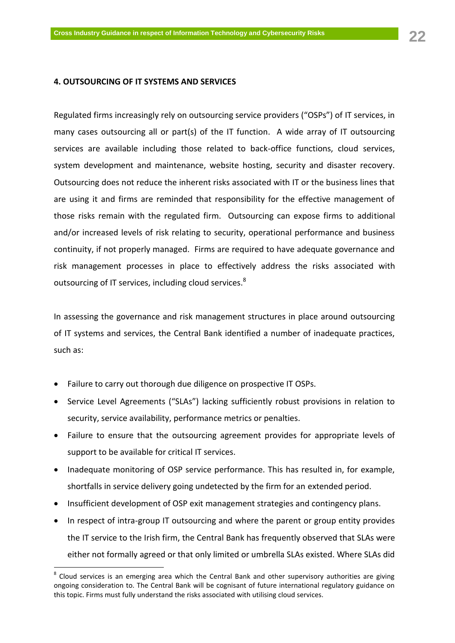# <span id="page-22-0"></span>**4. OUTSOURCING OF IT SYSTEMS AND SERVICES**

Regulated firms increasingly rely on outsourcing service providers ("OSPs") of IT services, in many cases outsourcing all or part(s) of the IT function. A wide array of IT outsourcing services are available including those related to back-office functions, cloud services, system development and maintenance, website hosting, security and disaster recovery. Outsourcing does not reduce the inherent risks associated with IT or the business lines that are using it and firms are reminded that responsibility for the effective management of those risks remain with the regulated firm. Outsourcing can expose firms to additional and/or increased levels of risk relating to security, operational performance and business continuity, if not properly managed. Firms are required to have adequate governance and risk management processes in place to effectively address the risks associated with outsourcing of IT services, including cloud services.<sup>8</sup>

In assessing the governance and risk management structures in place around outsourcing of IT systems and services, the Central Bank identified a number of inadequate practices, such as:

Failure to carry out thorough due diligence on prospective IT OSPs.

1

- Service Level Agreements ("SLAs") lacking sufficiently robust provisions in relation to security, service availability, performance metrics or penalties.
- Failure to ensure that the outsourcing agreement provides for appropriate levels of support to be available for critical IT services.
- Inadequate monitoring of OSP service performance. This has resulted in, for example, shortfalls in service delivery going undetected by the firm for an extended period.
- Insufficient development of OSP exit management strategies and contingency plans.
- In respect of intra-group IT outsourcing and where the parent or group entity provides the IT service to the Irish firm, the Central Bank has frequently observed that SLAs were either not formally agreed or that only limited or umbrella SLAs existed. Where SLAs did

 $^8$  Cloud services is an emerging area which the Central Bank and other supervisory authorities are giving ongoing consideration to. The Central Bank will be cognisant of future international regulatory guidance on this topic. Firms must fully understand the risks associated with utilising cloud services.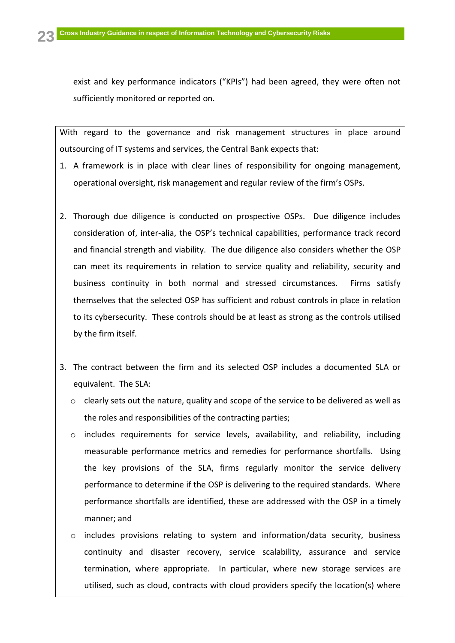exist and key performance indicators ("KPIs") had been agreed, they were often not sufficiently monitored or reported on.

With regard to the governance and risk management structures in place around outsourcing of IT systems and services, the Central Bank expects that:

- 1. A framework is in place with clear lines of responsibility for ongoing management, operational oversight, risk management and regular review of the firm's OSPs.
- 2. Thorough due diligence is conducted on prospective OSPs. Due diligence includes consideration of, inter-alia, the OSP's technical capabilities, performance track record and financial strength and viability. The due diligence also considers whether the OSP can meet its requirements in relation to service quality and reliability, security and business continuity in both normal and stressed circumstances. Firms satisfy themselves that the selected OSP has sufficient and robust controls in place in relation to its cybersecurity. These controls should be at least as strong as the controls utilised by the firm itself.
- 3. The contract between the firm and its selected OSP includes a documented SLA or equivalent. The SLA:
	- $\circ$  clearly sets out the nature, quality and scope of the service to be delivered as well as the roles and responsibilities of the contracting parties;
	- o includes requirements for service levels, availability, and reliability, including measurable performance metrics and remedies for performance shortfalls. Using the key provisions of the SLA, firms regularly monitor the service delivery performance to determine if the OSP is delivering to the required standards. Where performance shortfalls are identified, these are addressed with the OSP in a timely manner; and
	- $\circ$  includes provisions relating to system and information/data security, business continuity and disaster recovery, service scalability, assurance and service termination, where appropriate. In particular, where new storage services are utilised, such as cloud, contracts with cloud providers specify the location(s) where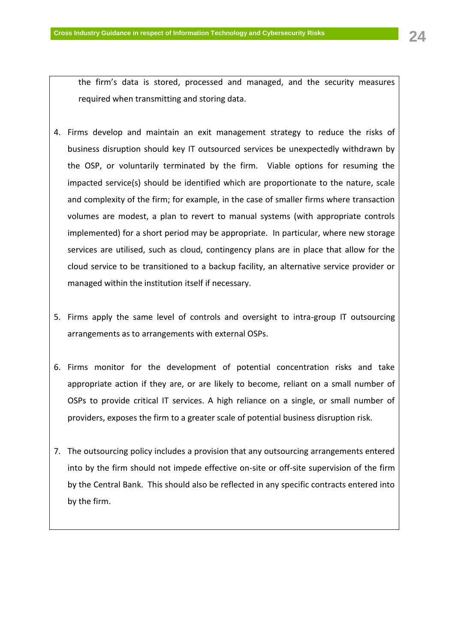required when transmitting and storing data.

the firm's data is stored, processed and managed, and the security measures

- 4. Firms develop and maintain an exit management strategy to reduce the risks of business disruption should key IT outsourced services be unexpectedly withdrawn by the OSP, or voluntarily terminated by the firm. Viable options for resuming the impacted service(s) should be identified which are proportionate to the nature, scale and complexity of the firm; for example, in the case of smaller firms where transaction volumes are modest, a plan to revert to manual systems (with appropriate controls implemented) for a short period may be appropriate. In particular, where new storage services are utilised, such as cloud, contingency plans are in place that allow for the cloud service to be transitioned to a backup facility, an alternative service provider or managed within the institution itself if necessary.
- 5. Firms apply the same level of controls and oversight to intra-group IT outsourcing arrangements as to arrangements with external OSPs.
- 6. Firms monitor for the development of potential concentration risks and take appropriate action if they are, or are likely to become, reliant on a small number of OSPs to provide critical IT services. A high reliance on a single, or small number of providers, exposes the firm to a greater scale of potential business disruption risk.
- 7. The outsourcing policy includes a provision that any outsourcing arrangements entered into by the firm should not impede effective on-site or off-site supervision of the firm by the Central Bank. This should also be reflected in any specific contracts entered into by the firm.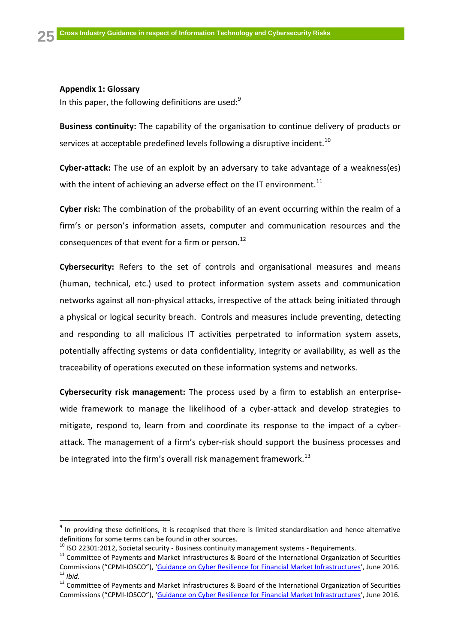# <span id="page-25-0"></span>**Appendix 1: Glossary**

 $\overline{a}$ 

In this paper, the following definitions are used: $9$ 

**Business continuity:** The capability of the organisation to continue delivery of products or services at acceptable predefined levels following a disruptive incident.<sup>10</sup>

**Cyber-attack:** The use of an exploit by an adversary to take advantage of a weakness(es) with the intent of achieving an adverse effect on the IT environment.<sup>11</sup>

**Cyber risk:** The combination of the probability of an event occurring within the realm of a firm's or person's information assets, computer and communication resources and the consequences of that event for a firm or person.<sup>12</sup>

**Cybersecurity:** Refers to the set of controls and organisational measures and means (human, technical, etc.) used to protect information system assets and communication networks against all non-physical attacks, irrespective of the attack being initiated through a physical or logical security breach. Controls and measures include preventing, detecting and responding to all malicious IT activities perpetrated to information system assets, potentially affecting systems or data confidentiality, integrity or availability, as well as the traceability of operations executed on these information systems and networks.

**Cybersecurity risk management:** The process used by a firm to establish an enterprisewide framework to manage the likelihood of a cyber-attack and develop strategies to mitigate, respond to, learn from and coordinate its response to the impact of a cyberattack. The management of a firm's cyber-risk should support the business processes and be integrated into the firm's overall risk management framework.<sup>13</sup>

 $9$  In providing these definitions, it is recognised that there is limited standardisation and hence alternative definitions for some terms can be found in other sources.

 $10$  ISO 22301:2012, Societal security - Business continuity management systems - Requirements.

 $11$  Committee of Payments and Market Infrastructures & Board of the International Organization of Securities Commissions ("CPMI-IOSCO"), '[Guidance on Cyber Resilience for Financial Market Infrastructures](https://www.iosco.org/library/pubdocs/pdf/IOSCOPD535.pdf)', June 2016.  $\frac{1}{2}$  Ibid.

<sup>&</sup>lt;sup>13</sup> Committee of Payments and Market Infrastructures & Board of the International Organization of Securities Commissions ("CPMI-IOSCO"), '[Guidance on Cyber Resilience for Financial Market Infrastructures](https://www.iosco.org/library/pubdocs/pdf/IOSCOPD535.pdf)', June 2016.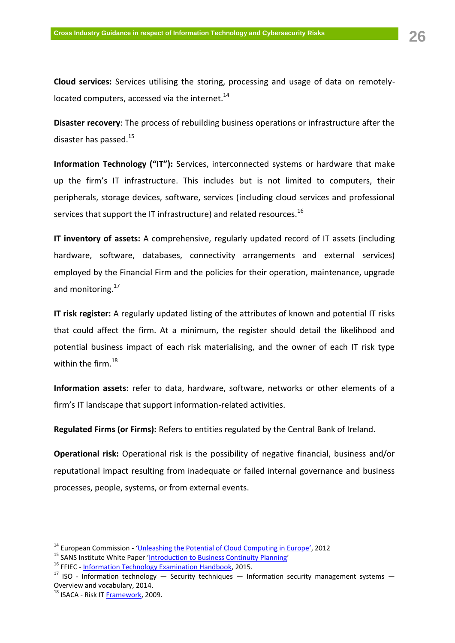**Cloud services:** Services utilising the storing, processing and usage of data on remotelylocated computers, accessed via the internet. $^{14}$ 

**Disaster recovery**: The process of rebuilding business operations or infrastructure after the disaster has passed.<sup>15</sup>

**Information Technology ("IT"):** Services, interconnected systems or hardware that make up the firm's IT infrastructure. This includes but is not limited to computers, their peripherals, storage devices, software, services (including cloud services and professional services that support the IT infrastructure) and related resources.<sup>16</sup>

**IT inventory of assets:** A comprehensive, regularly updated record of IT assets (including hardware, software, databases, connectivity arrangements and external services) employed by the Financial Firm and the policies for their operation, maintenance, upgrade and monitoring.<sup>17</sup>

**IT risk register:** A regularly updated listing of the attributes of known and potential IT risks that could affect the firm. At a minimum, the register should detail the likelihood and potential business impact of each risk materialising, and the owner of each IT risk type within the firm.<sup>18</sup>

**Information assets:** refer to data, hardware, software, networks or other elements of a firm's IT landscape that support information-related activities.

**Regulated Firms (or Firms):** Refers to entities regulated by the Central Bank of Ireland.

**Operational risk:** Operational risk is the possibility of negative financial, business and/or reputational impact resulting from inadequate or failed internal governance and business processes, people, systems, or from external events.

1

 $14$  European Commission - '[Unleashing the Potential of Cloud Computing in Europe](http://eur-lex.europa.eu/LexUriServ/LexUriServ.do?uri=COM:2012:0529:FIN:EN:PDF)', 2012

<sup>&</sup>lt;sup>15</sup> SANS Institute White Paper '[Introduction to Business Continuity](https://www.sans.org/reading-room/whitepapers/recovery/introduction-business-continuity-planning-559) Planning'

<sup>&</sup>lt;sup>16</sup> FFIEC - [Information Technology Examination Handbook,](http://ithandbook.ffiec.gov/) 2015.

<sup>&</sup>lt;sup>17</sup> ISO - Information technology  $-$  Security techniques  $-$  Information security management systems  $-$ Overview and vocabulary, 2014.

 $^{18}$  ISACA - Risk IT [Framework,](http://www.isaca.org/Knowledge-Center/Research/ResearchDeliverables/Pages/The-Risk-IT-Framework.aspx) 2009.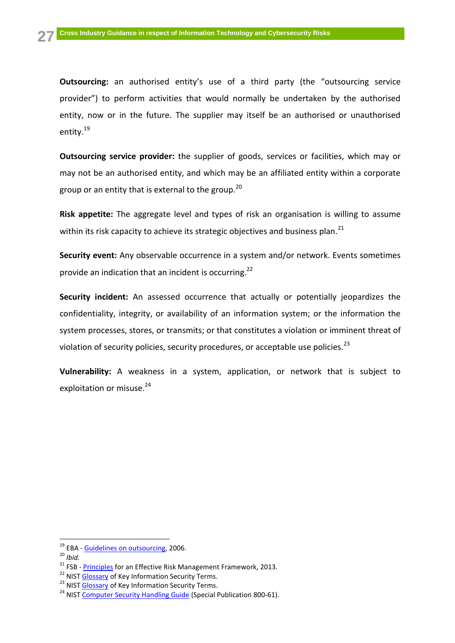**Outsourcing:** an authorised entity's use of a third party (the "outsourcing service provider") to perform activities that would normally be undertaken by the authorised entity, now or in the future. The supplier may itself be an authorised or unauthorised entity.<sup>19</sup>

**Outsourcing service provider:** the supplier of goods, services or facilities, which may or may not be an authorised entity, and which may be an affiliated entity within a corporate group or an entity that is external to the group.<sup>20</sup>

**Risk appetite:** The aggregate level and types of risk an organisation is willing to assume within its risk capacity to achieve its strategic objectives and business plan.<sup>21</sup>

**Security event:** Any observable occurrence in a system and/or network. Events sometimes provide an indication that an incident is occurring.<sup>22</sup>

**Security incident:** An assessed occurrence that actually or potentially jeopardizes the confidentiality, integrity, or availability of an information system; or the information the system processes, stores, or transmits; or that constitutes a violation or imminent threat of violation of security policies, security procedures, or acceptable use policies.<sup>23</sup>

**Vulnerability:** A weakness in a system, application, or network that is subject to exploitation or misuse.<sup>24</sup>

 $\overline{a}$ 

<sup>&</sup>lt;sup>19</sup> EBA - [Guidelines on outsourcing,](https://www.eba.europa.eu/regulation-and-policy/internal-governance/guidelines-on-outsourcing) 2006.

<sup>20</sup> *Ibid.*

<sup>&</sup>lt;sup>21</sup> FSB -  $Principles$  $Principles$  $Principles$  for an Effective Risk Management Framework, 2013.</u>

<sup>&</sup>lt;sup>22</sup> NIS[T Glossary](http://www.nist.gov/manuscript-publication-search.cfm?pub_id=913810) of Key Information Security Terms.

<sup>&</sup>lt;sup>23</sup> NIS[T Glossary](http://www.nist.gov/manuscript-publication-search.cfm?pub_id=913810) of Key Information Security Terms.

<sup>&</sup>lt;sup>24</sup> NIS[T Computer Security Handling Guide](http://nvlpubs.nist.gov/nistpubs/SpecialPublications/NIST.SP.800-61r2.pdf) (Special Publication 800-61).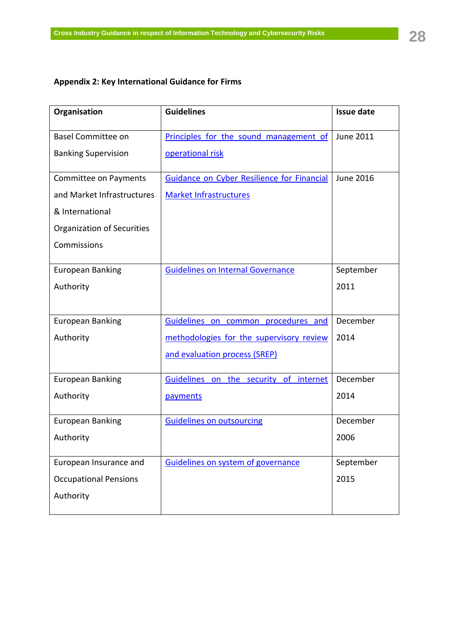# <span id="page-28-0"></span>**Appendix 2: Key International Guidance for Firms**

| Organisation                 | <b>Guidelines</b>                                 | <b>Issue date</b> |
|------------------------------|---------------------------------------------------|-------------------|
| <b>Basel Committee on</b>    | Principles for the sound management of            | <b>June 2011</b>  |
| <b>Banking Supervision</b>   | operational risk                                  |                   |
| <b>Committee on Payments</b> | <b>Guidance on Cyber Resilience for Financial</b> | June 2016         |
| and Market Infrastructures   | <b>Market Infrastructures</b>                     |                   |
| & International              |                                                   |                   |
| Organization of Securities   |                                                   |                   |
| Commissions                  |                                                   |                   |
| <b>European Banking</b>      | <b>Guidelines on Internal Governance</b>          | September         |
| Authority                    |                                                   | 2011              |
|                              |                                                   |                   |
| <b>European Banking</b>      | Guidelines on common procedures and               | December          |
| Authority                    | methodologies for the supervisory review          | 2014              |
|                              | and evaluation process (SREP)                     |                   |
| <b>European Banking</b>      | Guidelines on the security of internet            | December          |
| Authority                    | payments                                          | 2014              |
| <b>European Banking</b>      | <b>Guidelines on outsourcing</b>                  | December          |
| Authority                    |                                                   | 2006              |
| European Insurance and       | Guidelines on system of governance                | September         |
| <b>Occupational Pensions</b> |                                                   | 2015              |
| Authority                    |                                                   |                   |
|                              |                                                   |                   |